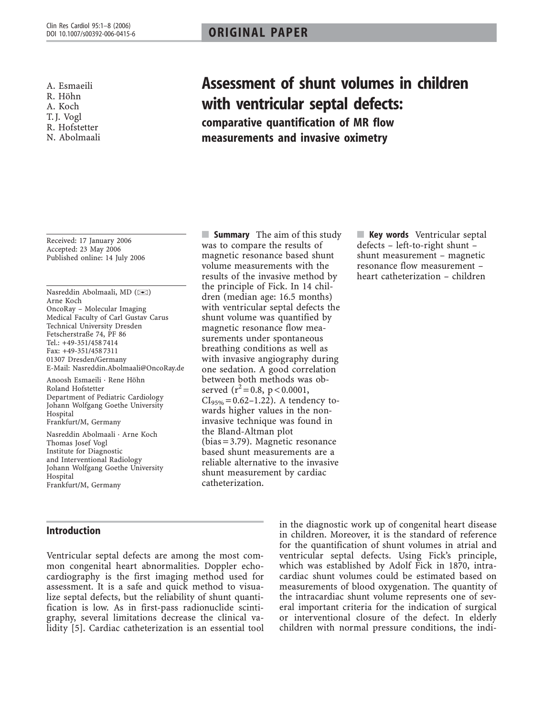## **ORIGINAL PAPER**

A. Esmaeili R. Höhn A. Koch T.J. Vogl R. Hofstetter N. Abolmaali

# **Assessment of shunt volumes in children with ventricular septal defects: comparative quantification of MR flow measurements and invasive oximetry**

Received: 17 January 2006 Accepted: 23 May 2006 Published online: 14 July 2006

Nasreddin Abolmaali, MD ( $\approx$ ) Arne Koch OncoRay – Molecular Imaging Medical Faculty of Carl Gustav Carus Technical University Dresden Fetscherstraße 74, PF 86 Tel.: +49-351/458 7414 Fax: +49-351/458 7311 01307 Dresden/Germany E-Mail: Nasreddin.Abolmaali@OncoRay.de

Anoosh Esmaeili · Rene Höhn Roland Hofstetter Department of Pediatric Cardiology Johann Wolfgang Goethe University Hospital Frankfurt/M, Germany

Nasreddin Abolmaali · Arne Koch Thomas Josef Vogl Institute for Diagnostic and Interventional Radiology Johann Wolfgang Goethe University Hospital Frankfurt/M, Germany

## **Introduction**

Ventricular septal defects are among the most common congenital heart abnormalities. Doppler echocardiography is the first imaging method used for assessment. It is a safe and quick method to visualize septal defects, but the reliability of shunt quantification is low. As in first-pass radionuclide scintigraphy, several limitations decrease the clinical validity [5]. Cardiac catheterization is an essential tool

**Summary** The aim of this study was to compare the results of magnetic resonance based shunt volume measurements with the results of the invasive method by the principle of Fick. In 14 children (median age: 16.5 months) with ventricular septal defects the shunt volume was quantified by magnetic resonance flow measurements under spontaneous breathing conditions as well as with invasive angiography during one sedation. A good correlation between both methods was observed  $(r^2 = 0.8, p < 0.0001,$  $CI_{95\%} = 0.62 - 1.22$ ). A tendency towards higher values in the noninvasive technique was found in the Bland-Altman plot (bias=3.79). Magnetic resonance based shunt measurements are a reliable alternative to the invasive shunt measurement by cardiac catheterization.

**Key words** Ventricular septal defects – left-to-right shunt – shunt measurement – magnetic resonance flow measurement – heart catheterization – children

in the diagnostic work up of congenital heart disease in children. Moreover, it is the standard of reference for the quantification of shunt volumes in atrial and ventricular septal defects. Using Fick's principle, which was established by Adolf Fick in 1870, intracardiac shunt volumes could be estimated based on measurements of blood oxygenation. The quantity of the intracardiac shunt volume represents one of several important criteria for the indication of surgical or interventional closure of the defect. In elderly children with normal pressure conditions, the indi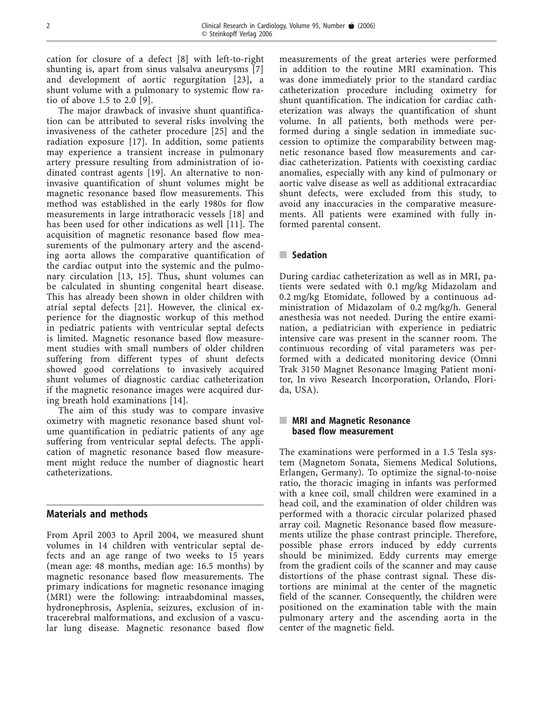cation for closure of a defect [8] with left-to-right shunting is, apart from sinus valsalva aneurysms [7] and development of aortic regurgitation [23], a shunt volume with a pulmonary to systemic flow ratio of above 1.5 to 2.0 [9].

The major drawback of invasive shunt quantification can be attributed to several risks involving the invasiveness of the catheter procedure [25] and the radiation exposure [17]. In addition, some patients may experience a transient increase in pulmonary artery pressure resulting from administration of iodinated contrast agents [19]. An alternative to noninvasive quantification of shunt volumes might be magnetic resonance based flow measurements. This method was established in the early 1980s for flow measurements in large intrathoracic vessels [18] and has been used for other indications as well [11]. The acquisition of magnetic resonance based flow measurements of the pulmonary artery and the ascending aorta allows the comparative quantification of the cardiac output into the systemic and the pulmonary circulation [13, 15]. Thus, shunt volumes can be calculated in shunting congenital heart disease. This has already been shown in older children with atrial septal defects [21]. However, the clinical experience for the diagnostic workup of this method in pediatric patients with ventricular septal defects is limited. Magnetic resonance based flow measurement studies with small numbers of older children suffering from different types of shunt defects showed good correlations to invasively acquired shunt volumes of diagnostic cardiac catheterization if the magnetic resonance images were acquired during breath hold examinations [14].

The aim of this study was to compare invasive oximetry with magnetic resonance based shunt volume quantification in pediatric patients of any age suffering from ventricular septal defects. The application of magnetic resonance based flow measurement might reduce the number of diagnostic heart catheterizations.

### **Materials and methods**

From April 2003 to April 2004, we measured shunt volumes in 14 children with ventricular septal defects and an age range of two weeks to 15 years (mean age: 48 months, median age: 16.5 months) by magnetic resonance based flow measurements. The primary indications for magnetic resonance imaging (MRI) were the following: intraabdominal masses, hydronephrosis, Asplenia, seizures, exclusion of intracerebral malformations, and exclusion of a vascular lung disease. Magnetic resonance based flow

measurements of the great arteries were performed in addition to the routine MRI examination. This was done immediately prior to the standard cardiac catheterization procedure including oximetry for shunt quantification. The indication for cardiac catheterization was always the quantification of shunt volume. In all patients, both methods were performed during a single sedation in immediate succession to optimize the comparability between magnetic resonance based flow measurements and cardiac catheterization. Patients with coexisting cardiac anomalies, especially with any kind of pulmonary or aortic valve disease as well as additional extracardiac shunt defects, were excluded from this study, to avoid any inaccuracies in the comparative measurements. All patients were examined with fully informed parental consent.

#### **n** Sedation

During cardiac catheterization as well as in MRI, patients were sedated with 0.1 mg/kg Midazolam and 0.2 mg/kg Etomidate, followed by a continuous administration of Midazolam of 0.2 mg/kg/h. General anesthesia was not needed. During the entire examination, a pediatrician with experience in pediatric intensive care was present in the scanner room. The continuous recording of vital parameters was performed with a dedicated monitoring device (Omni Trak 3150 Magnet Resonance Imaging Patient monitor, In vivo Research Incorporation, Orlando, Florida, USA).

#### $\blacksquare$  **MRI and Magnetic Resonance based flow measurement**

The examinations were performed in a 1.5 Tesla system (Magnetom Sonata, Siemens Medical Solutions, Erlangen, Germany). To optimize the signal-to-noise ratio, the thoracic imaging in infants was performed with a knee coil, small children were examined in a head coil, and the examination of older children was performed with a thoracic circular polarized phased array coil. Magnetic Resonance based flow measurements utilize the phase contrast principle. Therefore, possible phase errors induced by eddy currents should be minimized. Eddy currents may emerge from the gradient coils of the scanner and may cause distortions of the phase contrast signal. These distortions are minimal at the center of the magnetic field of the scanner. Consequently, the children were positioned on the examination table with the main pulmonary artery and the ascending aorta in the center of the magnetic field.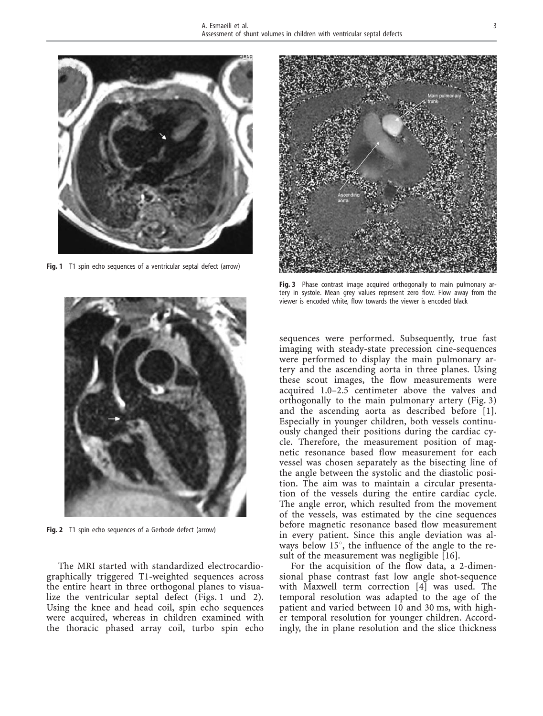

**Fig. 1** T1 spin echo sequences of a ventricular septal defect (arrow)



**Fig. 2** T1 spin echo sequences of a Gerbode defect (arrow)

The MRI started with standardized electrocardiographically triggered T1-weighted sequences across the entire heart in three orthogonal planes to visualize the ventricular septal defect (Figs. 1 und 2). Using the knee and head coil, spin echo sequences were acquired, whereas in children examined with the thoracic phased array coil, turbo spin echo



Fig. 3 Phase contrast image acquired orthogonally to main pulmonary artery in systole. Mean grey values represent zero flow. Flow away from the viewer is encoded white, flow towards the viewer is encoded black

sequences were performed. Subsequently, true fast imaging with steady-state precession cine-sequences were performed to display the main pulmonary artery and the ascending aorta in three planes. Using these scout images, the flow measurements were acquired 1.0–2.5 centimeter above the valves and orthogonally to the main pulmonary artery (Fig. 3) and the ascending aorta as described before [1]. Especially in younger children, both vessels continuously changed their positions during the cardiac cycle. Therefore, the measurement position of magnetic resonance based flow measurement for each vessel was chosen separately as the bisecting line of the angle between the systolic and the diastolic position. The aim was to maintain a circular presentation of the vessels during the entire cardiac cycle. The angle error, which resulted from the movement of the vessels, was estimated by the cine sequences before magnetic resonance based flow measurement in every patient. Since this angle deviation was always below  $15^{\circ}$ , the influence of the angle to the result of the measurement was negligible [16].

For the acquisition of the flow data, a 2-dimensional phase contrast fast low angle shot-sequence with Maxwell term correction [4] was used. The temporal resolution was adapted to the age of the patient and varied between 10 and 30 ms, with higher temporal resolution for younger children. Accordingly, the in plane resolution and the slice thickness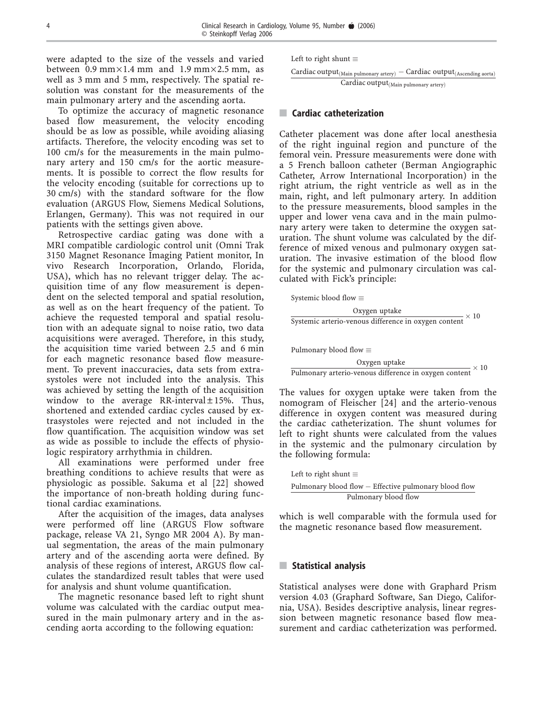were adapted to the size of the vessels and varied between 0.9 mm $\times$ 1.4 mm and 1.9 mm $\times$ 2.5 mm, as well as 3 mm and 5 mm, respectively. The spatial resolution was constant for the measurements of the main pulmonary artery and the ascending aorta.

To optimize the accuracy of magnetic resonance based flow measurement, the velocity encoding should be as low as possible, while avoiding aliasing artifacts. Therefore, the velocity encoding was set to 100 cm/s for the measurements in the main pulmonary artery and 150 cm/s for the aortic measurements. It is possible to correct the flow results for the velocity encoding (suitable for corrections up to 30 cm/s) with the standard software for the flow evaluation (ARGUS Flow, Siemens Medical Solutions, Erlangen, Germany). This was not required in our patients with the settings given above.

Retrospective cardiac gating was done with a MRI compatible cardiologic control unit (Omni Trak 3150 Magnet Resonance Imaging Patient monitor, In vivo Research Incorporation, Orlando, Florida, USA), which has no relevant trigger delay. The acquisition time of any flow measurement is dependent on the selected temporal and spatial resolution, as well as on the heart frequency of the patient. To achieve the requested temporal and spatial resolution with an adequate signal to noise ratio, two data acquisitions were averaged. Therefore, in this study, the acquisition time varied between 2.5 and 6 min for each magnetic resonance based flow measurement. To prevent inaccuracies, data sets from extrasystoles were not included into the analysis. This was achieved by setting the length of the acquisition window to the average RR-interval  $\pm$  15%. Thus, shortened and extended cardiac cycles caused by extrasystoles were rejected and not included in the flow quantification. The acquisition window was set as wide as possible to include the effects of physiologic respiratory arrhythmia in children.

All examinations were performed under free breathing conditions to achieve results that were as physiologic as possible. Sakuma et al [22] showed the importance of non-breath holding during functional cardiac examinations.

After the acquisition of the images, data analyses were performed off line (ARGUS Flow software package, release VA 21, Syngo MR 2004 A). By manual segmentation, the areas of the main pulmonary artery and of the ascending aorta were defined. By analysis of these regions of interest, ARGUS flow calculates the standardized result tables that were used for analysis and shunt volume quantification.

The magnetic resonance based left to right shunt volume was calculated with the cardiac output measured in the main pulmonary artery and in the ascending aorta according to the following equation:

Left to right shunt  $\equiv$ 

Cardiac output<sub>(Main pulmonary artery)</sub> - Cardiac output<sub>(Ascending aorta)</sub> Cardiac output<sub>(Main pulmonary artery)</sub>

#### **n** Cardiac catheterization

Catheter placement was done after local anesthesia of the right inguinal region and puncture of the femoral vein. Pressure measurements were done with a 5 French balloon catheter (Berman Angiographic Catheter, Arrow International Incorporation) in the right atrium, the right ventricle as well as in the main, right, and left pulmonary artery. In addition to the pressure measurements, blood samples in the upper and lower vena cava and in the main pulmonary artery were taken to determine the oxygen saturation. The shunt volume was calculated by the difference of mixed venous and pulmonary oxygen saturation. The invasive estimation of the blood flow for the systemic and pulmonary circulation was calculated with Fick's principle:

| Systemic blood flow $\equiv$                          |               |
|-------------------------------------------------------|---------------|
| Oxygen uptake                                         | - $\times$ 10 |
| Systemic arterio-venous difference in oxygen content  |               |
| Pulmonary blood flow $\equiv$                         |               |
| Oxygen uptake                                         | $\times$ 10   |
| Pulmonary arterio-venous difference in oxygen content |               |

The values for oxygen uptake were taken from the nomogram of Fleischer [24] and the arterio-venous difference in oxygen content was measured during the cardiac catheterization. The shunt volumes for left to right shunts were calculated from the values in the systemic and the pulmonary circulation by the following formula:

Left to right shunt 
$$
\equiv
$$

\nPlimonary blood flow – Effective pulmonary blood flow

\nPlmonary blood flow

which is well comparable with the formula used for the magnetic resonance based flow measurement.

#### **n** Statistical analysis

Statistical analyses were done with Graphard Prism version 4.03 (Graphard Software, San Diego, California, USA). Besides descriptive analysis, linear regression between magnetic resonance based flow measurement and cardiac catheterization was performed.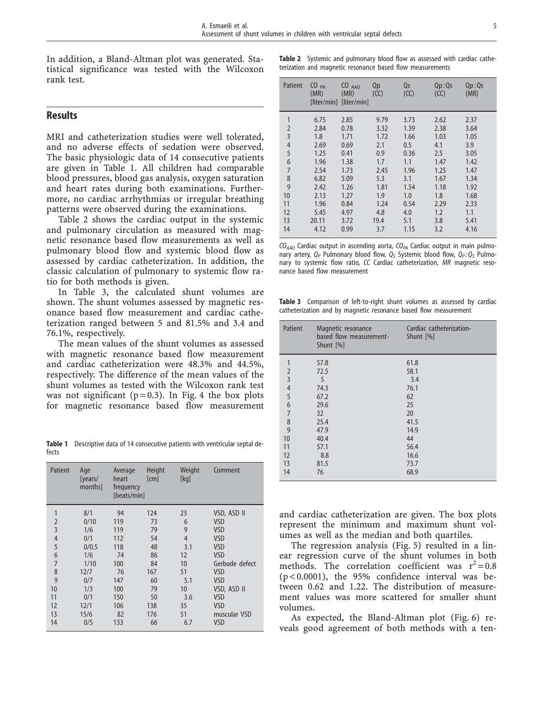In addition, a Bland-Altman plot was generated. Statistical significance was tested with the Wilcoxon rank test.

#### **Results**

MRI and catheterization studies were well tolerated, and no adverse effects of sedation were observed. The basic physiologic data of 14 consecutive patients are given in Table 1. All children had comparable blood pressures, blood gas analysis, oxygen saturation and heart rates during both examinations. Furthermore, no cardiac arrhythmias or irregular breathing patterns were observed during the examinations.

Table 2 shows the cardiac output in the systemic and pulmonary circulation as measured with magnetic resonance based flow measurements as well as pulmonary blood flow and systemic blood flow as assessed by cardiac catheterization. In addition, the classic calculation of pulmonary to systemic flow ratio for both methods is given.

In Table 3, the calculated shunt volumes are shown. The shunt volumes assessed by magnetic resonance based flow measurement and cardiac catheterization ranged between 5 and 81.5% and 3.4 and 76.1%, respectively.

The mean values of the shunt volumes as assessed with magnetic resonance based flow measurement and cardiac catheterization were 48.3% and 44.5%, respectively. The difference of the mean values of the shunt volumes as tested with the Wilcoxon rank test was not significant ( $p=0.3$ ). In Fig. 4 the box plots for magnetic resonance based flow measurement

**Table 1** Descriptive data of 14 consecutive patients with ventricular septal defects

| Patient        | Age<br>[years/<br>months] | Average<br>heart<br>frequency<br>[beats/min] | <b>Height</b><br>[cm] | Weight<br>[kq] | Comment        |
|----------------|---------------------------|----------------------------------------------|-----------------------|----------------|----------------|
| 1              | 8/1                       | 94                                           | 124                   | 23             | VSD, ASD II    |
| $\overline{2}$ | 0/10                      | 119                                          | 73                    | 6              | <b>VSD</b>     |
| 3              | 1/6                       | 119                                          | 79                    | 9              | <b>VSD</b>     |
| $\overline{4}$ | 0/1                       | 112                                          | 54                    | $\overline{4}$ | <b>VSD</b>     |
| 5              | 0/0.5                     | 118                                          | 48                    | 3.1            | <b>VSD</b>     |
| 6              | 1/6                       | 74                                           | 86                    | 12             | <b>VSD</b>     |
| $\overline{7}$ | 1/10                      | 100                                          | 84                    | 10             | Gerbode defect |
| 8              | 12/7                      | 76                                           | 167                   | 51             | <b>VSD</b>     |
| 9              | 0/7                       | 147                                          | 60                    | 5.1            | <b>VSD</b>     |
| 10             | 1/3                       | 100                                          | 79                    | 10             | VSD, ASD II    |
| 11             | 0/1                       | 150                                          | 50                    | 3.6            | <b>VSD</b>     |
| 12             | 12/1                      | 106                                          | 138                   | 35             | <b>VSD</b>     |
| 13             | 15/6                      | 82                                           | 176                   | 51             | muscular VSD   |
| 14             | 0/5                       | 133                                          | 66                    | 6.7            | <b>VSD</b>     |

**Table 2** Systemic and pulmonary blood flow as assessed with cardiac catheterization and magnetic resonance based flow measurements

| Patient        | $CO$ <sub>PA</sub><br>(MR)<br>[liter/min] | CO <sub>AAO</sub><br>(MR)<br>[liter/min] | Qp<br>(CC) | Qs<br>(CC) | Qp:Qs<br>(CC) | Qp:Qs<br>(MR) |
|----------------|-------------------------------------------|------------------------------------------|------------|------------|---------------|---------------|
| 1              | 6.75                                      | 2.85                                     | 9.79       | 3.73       | 2.62          | 2.37          |
| $\overline{2}$ | 2.84                                      | 0.78                                     | 3.32       | 1.39       | 2.38          | 3.64          |
| $\overline{3}$ | 1.8                                       | 1.71                                     | 1.72       | 1.66       | 1.03          | 1.05          |
| $\overline{4}$ | 2.69                                      | 0.69                                     | 2.1        | 0.5        | 4.1           | 3.9           |
| 5              | 1.25                                      | 0.41                                     | 0.9        | 0.36       | 2.5           | 3.05          |
| 6              | 1.96                                      | 1.38                                     | 1.7        | 1.1        | 1.47          | 1.42          |
| $\overline{7}$ | 2.54                                      | 1.73                                     | 2.45       | 1.96       | 1.25          | 1.47          |
| 8              | 6.82                                      | 5.09                                     | 5.3        | 3.1        | 1.67          | 1.34          |
| 9              | 2.42                                      | 1.26                                     | 1.81       | 1.54       | 1.18          | 1.92          |
| 10             | 2.13                                      | 1.27                                     | 1.9        | 1.0        | 1.8           | 1.68          |
| 11             | 1.96                                      | 0.84                                     | 1.24       | 0.54       | 2.29          | 2.33          |
| 12             | 5.45                                      | 4.97                                     | 4.8        | 4.0        | 1.2           | 1.1           |
| 13             | 20.11                                     | 3.72                                     | 19.4       | 5.1        | 3.8           | 5.41          |
| 14             | 4.12                                      | 0.99                                     | 3.7        | 1.15       | 3.2           | 4.16          |

*CO<sub>AAO</sub>* Cardiac output in ascending aorta, *CO<sub>PA</sub>* Cardiac output in main pulmonary artery,  $Q_P$  Pulmonary blood flow,  $Q_S$  Systemic blood flow,  $Q_P$ :  $Q_S$  Pulmonary to systemic flow ratio, *CC* Cardiac catheterization, *MR* magnetic resonance based flow measurement

Table 3 Comparison of left-to-right shunt volumes as assessed by cardiac catheterization and by magnetic resonance based flow measurement

| Patient        | Magnetic resonance<br>based flow measurement-<br>Shunt [%] | Cardiac catheterization-<br>Shunt [%] |
|----------------|------------------------------------------------------------|---------------------------------------|
| 1              | 57.8                                                       | 61.8                                  |
| $\overline{2}$ | 72.5                                                       | 58.1                                  |
| 3              | 5                                                          | 3.4                                   |
| $\overline{4}$ | 74.3                                                       | 76.1                                  |
| 5              | 67.2                                                       | 62                                    |
| 6              | 29.6                                                       | 25                                    |
| $\overline{7}$ | 32                                                         | 20                                    |
| 8              | 25.4                                                       | 41.5                                  |
| 9              | 47.9                                                       | 14.9                                  |
| 10             | 40.4                                                       | 44                                    |
| 11             | 57.1                                                       | 56.4                                  |
| 12             | 8.8                                                        | 16.6                                  |
| 13             | 81.5                                                       | 73.7                                  |
| 14             | 76                                                         | 68.9                                  |

and cardiac catheterization are given. The box plots represent the minimum and maximum shunt volumes as well as the median and both quartiles.

The regression analysis (Fig. 5) resulted in a linear regression curve of the shunt volumes in both methods. The correlation coefficient was  $r^2 = 0.8$  $(p<0.0001)$ , the 95% confidence interval was between 0.62 and 1.22. The distribution of measurement values was more scattered for smaller shunt volumes.

As expected, the Bland-Altman plot (Fig. 6) reveals good agreement of both methods with a ten-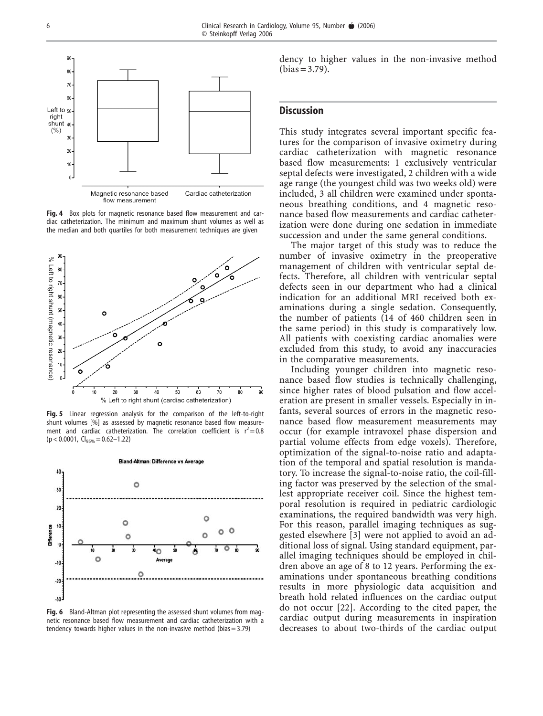

Fig. 4 Box plots for magnetic resonance based flow measurement and cardiac catheterization. The minimum and maximum shunt volumes as well as the median and both quartiles for both measurement techniques are given



**Fig. 5** Linear regression analysis for the comparison of the left-to-right shunt volumes [%] as assessed by magnetic resonance based flow measurement and cardiac catheterization. The correlation coefficient is  $r^2 = 0.8$  $(p < 0.0001, C|_{95\%} = 0.62 - 1.22)$ 



**Fig. 6** Bland-Altman plot representing the assessed shunt volumes from magnetic resonance based flow measurement and cardiac catheterization with a tendency towards higher values in the non-invasive method (bias=3.79)

dency to higher values in the non-invasive method  $(bias = 3.79)$ .

#### **Discussion**

This study integrates several important specific features for the comparison of invasive oximetry during cardiac catheterization with magnetic resonance based flow measurements: 1 exclusively ventricular septal defects were investigated, 2 children with a wide age range (the youngest child was two weeks old) were included, 3 all children were examined under spontaneous breathing conditions, and 4 magnetic resonance based flow measurements and cardiac catheterization were done during one sedation in immediate succession and under the same general conditions.

The major target of this study was to reduce the number of invasive oximetry in the preoperative management of children with ventricular septal defects. Therefore, all children with ventricular septal defects seen in our department who had a clinical indication for an additional MRI received both examinations during a single sedation. Consequently, the number of patients (14 of 460 children seen in the same period) in this study is comparatively low. All patients with coexisting cardiac anomalies were excluded from this study, to avoid any inaccuracies in the comparative measurements.

Including younger children into magnetic resonance based flow studies is technically challenging, since higher rates of blood pulsation and flow acceleration are present in smaller vessels. Especially in infants, several sources of errors in the magnetic resonance based flow measurement measurements may occur (for example intravoxel phase dispersion and partial volume effects from edge voxels). Therefore, optimization of the signal-to-noise ratio and adaptation of the temporal and spatial resolution is mandatory. To increase the signal-to-noise ratio, the coil-filling factor was preserved by the selection of the smallest appropriate receiver coil. Since the highest temporal resolution is required in pediatric cardiologic examinations, the required bandwidth was very high. For this reason, parallel imaging techniques as suggested elsewhere [3] were not applied to avoid an additional loss of signal. Using standard equipment, parallel imaging techniques should be employed in children above an age of 8 to 12 years. Performing the examinations under spontaneous breathing conditions results in more physiologic data acquisition and breath hold related influences on the cardiac output do not occur [22]. According to the cited paper, the cardiac output during measurements in inspiration decreases to about two-thirds of the cardiac output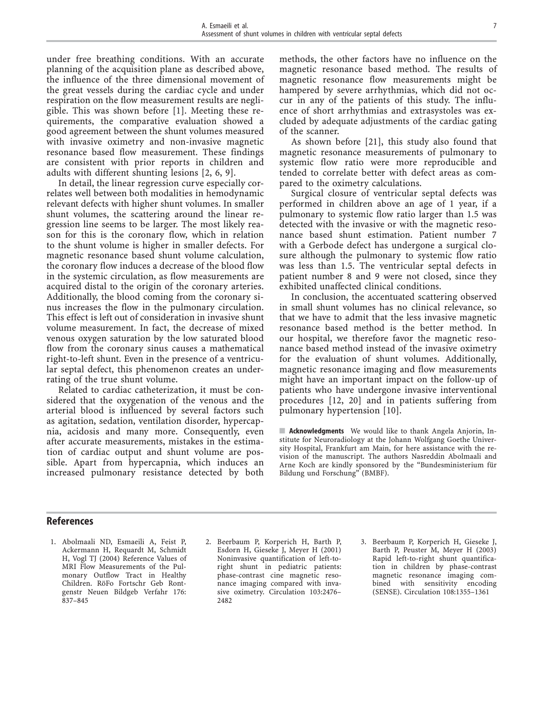under free breathing conditions. With an accurate planning of the acquisition plane as described above, the influence of the three dimensional movement of the great vessels during the cardiac cycle and under respiration on the flow measurement results are negligible. This was shown before [1]. Meeting these requirements, the comparative evaluation showed a good agreement between the shunt volumes measured with invasive oximetry and non-invasive magnetic resonance based flow measurement. These findings are consistent with prior reports in children and adults with different shunting lesions [2, 6, 9].

In detail, the linear regression curve especially correlates well between both modalities in hemodynamic relevant defects with higher shunt volumes. In smaller shunt volumes, the scattering around the linear regression line seems to be larger. The most likely reason for this is the coronary flow, which in relation to the shunt volume is higher in smaller defects. For magnetic resonance based shunt volume calculation, the coronary flow induces a decrease of the blood flow in the systemic circulation, as flow measurements are acquired distal to the origin of the coronary arteries. Additionally, the blood coming from the coronary sinus increases the flow in the pulmonary circulation. This effect is left out of consideration in invasive shunt volume measurement. In fact, the decrease of mixed venous oxygen saturation by the low saturated blood flow from the coronary sinus causes a mathematical right-to-left shunt. Even in the presence of a ventricular septal defect, this phenomenon creates an underrating of the true shunt volume.

Related to cardiac catheterization, it must be considered that the oxygenation of the venous and the arterial blood is influenced by several factors such as agitation, sedation, ventilation disorder, hypercapnia, acidosis and many more. Consequently, even after accurate measurements, mistakes in the estimation of cardiac output and shunt volume are possible. Apart from hypercapnia, which induces an increased pulmonary resistance detected by both methods, the other factors have no influence on the magnetic resonance based method. The results of magnetic resonance flow measurements might be hampered by severe arrhythmias, which did not occur in any of the patients of this study. The influence of short arrhythmias and extrasystoles was excluded by adequate adjustments of the cardiac gating of the scanner.

As shown before [21], this study also found that magnetic resonance measurements of pulmonary to systemic flow ratio were more reproducible and tended to correlate better with defect areas as compared to the oximetry calculations.

Surgical closure of ventricular septal defects was performed in children above an age of 1 year, if a pulmonary to systemic flow ratio larger than 1.5 was detected with the invasive or with the magnetic resonance based shunt estimation. Patient number 7 with a Gerbode defect has undergone a surgical closure although the pulmonary to systemic flow ratio was less than 1.5. The ventricular septal defects in patient number 8 and 9 were not closed, since they exhibited unaffected clinical conditions.

In conclusion, the accentuated scattering observed in small shunt volumes has no clinical relevance, so that we have to admit that the less invasive magnetic resonance based method is the better method. In our hospital, we therefore favor the magnetic resonance based method instead of the invasive oximetry for the evaluation of shunt volumes. Additionally, magnetic resonance imaging and flow measurements might have an important impact on the follow-up of patients who have undergone invasive interventional procedures [12, 20] and in patients suffering from pulmonary hypertension [10].

**n Acknowledgments** We would like to thank Angela Anjorin, Institute for Neuroradiology at the Johann Wolfgang Goethe University Hospital, Frankfurt am Main, for here assistance with the revision of the manuscript. The authors Nasreddin Abolmaali and Arne Koch are kindly sponsored by the "Bundesministerium für Bildung und Forschung" (BMBF).

## **References**

- 1. Abolmaali ND, Esmaeili A, Feist P, Ackermann H, Requardt M, Schmidt H, Vogl TJ (2004) Reference Values of MRI Flow Measurements of the Pulmonary Outflow Tract in Healthy Children. RöFo Fortschr Geb Rontgenstr Neuen Bildgeb Verfahr 176: 837–845
- 2. Beerbaum P, Korperich H, Barth P, Esdorn H, Gieseke J, Meyer H (2001) Noninvasive quantification of left-toright shunt in pediatric patients: phase-contrast cine magnetic resonance imaging compared with invasive oximetry. Circulation 103:2476– 2482
- 3. Beerbaum P, Korperich H, Gieseke J, Barth P, Peuster M, Meyer H (2003) Rapid left-to-right shunt quantification in children by phase-contrast magnetic resonance imaging combined with sensitivity encoding (SENSE). Circulation 108:1355–1361